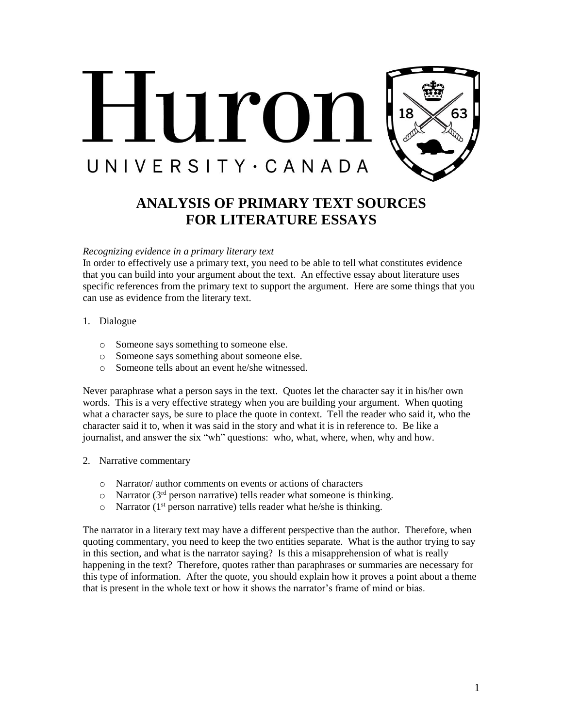

# **ANALYSIS OF PRIMARY TEXT SOURCES FOR LITERATURE ESSAYS**

#### *Recognizing evidence in a primary literary text*

In order to effectively use a primary text, you need to be able to tell what constitutes evidence that you can build into your argument about the text. An effective essay about literature uses specific references from the primary text to support the argument. Here are some things that you can use as evidence from the literary text.

- 1. Dialogue
	- o Someone says something to someone else.
	- o Someone says something about someone else.
	- o Someone tells about an event he/she witnessed.

Never paraphrase what a person says in the text. Quotes let the character say it in his/her own words. This is a very effective strategy when you are building your argument. When quoting what a character says, be sure to place the quote in context. Tell the reader who said it, who the character said it to, when it was said in the story and what it is in reference to. Be like a journalist, and answer the six "wh" questions: who, what, where, when, why and how.

- 2. Narrative commentary
	- o Narrator/ author comments on events or actions of characters
	- $\circ$  Narrator (3<sup>rd</sup> person narrative) tells reader what someone is thinking.
	- $\circ$  Narrator (1<sup>st</sup> person narrative) tells reader what he/she is thinking.

The narrator in a literary text may have a different perspective than the author. Therefore, when quoting commentary, you need to keep the two entities separate. What is the author trying to say in this section, and what is the narrator saying? Is this a misapprehension of what is really happening in the text? Therefore, quotes rather than paraphrases or summaries are necessary for this type of information. After the quote, you should explain how it proves a point about a theme that is present in the whole text or how it shows the narrator's frame of mind or bias.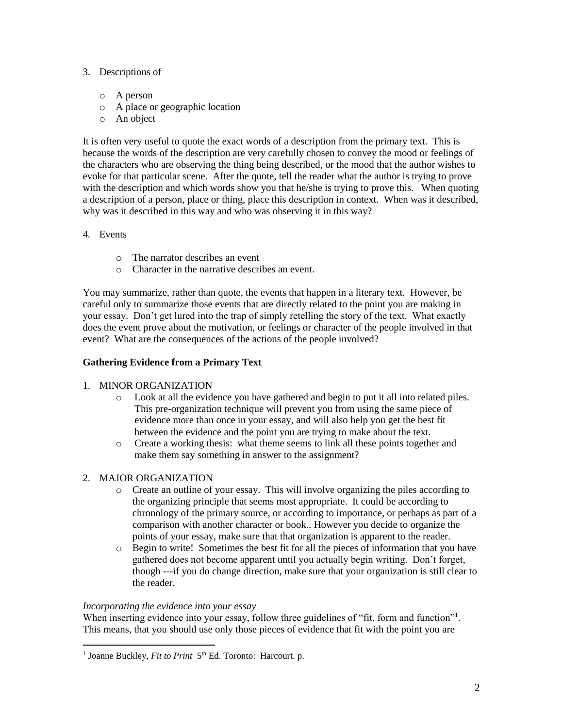# 3. Descriptions of

- o A person
- o A place or geographic location
- o An object

It is often very useful to quote the exact words of a description from the primary text. This is because the words of the description are very carefully chosen to convey the mood or feelings of the characters who are observing the thing being described, or the mood that the author wishes to evoke for that particular scene. After the quote, tell the reader what the author is trying to prove with the description and which words show you that he/she is trying to prove this. When quoting a description of a person, place or thing, place this description in context. When was it described, why was it described in this way and who was observing it in this way?

- 4. Events
	- o The narrator describes an event
	- o Character in the narrative describes an event.

You may summarize, rather than quote, the events that happen in a literary text. However, be careful only to summarize those events that are directly related to the point you are making in your essay. Don't get lured into the trap of simply retelling the story of the text. What exactly does the event prove about the motivation, or feelings or character of the people involved in that event? What are the consequences of the actions of the people involved?

# **Gathering Evidence from a Primary Text**

# 1. MINOR ORGANIZATION

- o Look at all the evidence you have gathered and begin to put it all into related piles. This pre-organization technique will prevent you from using the same piece of evidence more than once in your essay, and will also help you get the best fit between the evidence and the point you are trying to make about the text.
- o Create a working thesis: what theme seems to link all these points together and make them say something in answer to the assignment?

# 2. MAJOR ORGANIZATION

- o Create an outline of your essay. This will involve organizing the piles according to the organizing principle that seems most appropriate. It could be according to chronology of the primary source, or according to importance, or perhaps as part of a comparison with another character or book.. However you decide to organize the points of your essay, make sure that that organization is apparent to the reader.
- o Begin to write! Sometimes the best fit for all the pieces of information that you have gathered does not become apparent until you actually begin writing. Don't forget, though ---if you do change direction, make sure that your organization is still clear to the reader.

# *Incorporating the evidence into your essay*

 $\overline{a}$ 

When inserting evidence into your essay, follow three guidelines of "fit, form and function"<sup>1</sup>. This means, that you should use only those pieces of evidence that fit with the point you are

<sup>&</sup>lt;sup>1</sup> Joanne Buckley, *Fit to Print* 5<sup>th</sup> Ed. Toronto: Harcourt. p.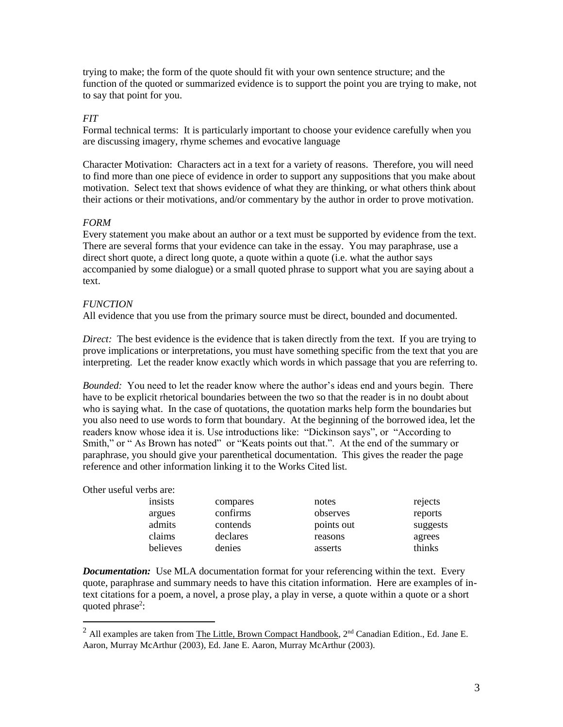trying to make; the form of the quote should fit with your own sentence structure; and the function of the quoted or summarized evidence is to support the point you are trying to make, not to say that point for you.

# *FIT*

Formal technical terms: It is particularly important to choose your evidence carefully when you are discussing imagery, rhyme schemes and evocative language

Character Motivation: Characters act in a text for a variety of reasons. Therefore, you will need to find more than one piece of evidence in order to support any suppositions that you make about motivation. Select text that shows evidence of what they are thinking, or what others think about their actions or their motivations, and/or commentary by the author in order to prove motivation.

# *FORM*

Every statement you make about an author or a text must be supported by evidence from the text. There are several forms that your evidence can take in the essay. You may paraphrase, use a direct short quote, a direct long quote, a quote within a quote (i.e. what the author says accompanied by some dialogue) or a small quoted phrase to support what you are saying about a text.

# *FUNCTION*

All evidence that you use from the primary source must be direct, bounded and documented.

*Direct:* The best evidence is the evidence that is taken directly from the text. If you are trying to prove implications or interpretations, you must have something specific from the text that you are interpreting. Let the reader know exactly which words in which passage that you are referring to.

*Bounded:* You need to let the reader know where the author's ideas end and yours begin. There have to be explicit rhetorical boundaries between the two so that the reader is in no doubt about who is saying what. In the case of quotations, the quotation marks help form the boundaries but you also need to use words to form that boundary. At the beginning of the borrowed idea, let the readers know whose idea it is. Use introductions like: "Dickinson says", or "According to Smith," or " As Brown has noted" or "Keats points out that.". At the end of the summary or paraphrase, you should give your parenthetical documentation. This gives the reader the page reference and other information linking it to the Works Cited list.

# Other useful verbs are:

 $\overline{a}$ 

| insists  | compares | notes      | rejects  |
|----------|----------|------------|----------|
| argues   | confirms | observes   | reports  |
| admits   | contends | points out | suggests |
| claims   | declares | reasons    | agrees   |
| believes | denies   | asserts    | thinks   |

*Documentation:* Use MLA documentation format for your referencing within the text. Every quote, paraphrase and summary needs to have this citation information. Here are examples of intext citations for a poem, a novel, a prose play, a play in verse, a quote within a quote or a short quoted phrase<sup>2</sup>:

<sup>&</sup>lt;sup>2</sup> All examples are taken from The Little, Brown Compact Handbook,  $2<sup>nd</sup>$  Canadian Edition., Ed. Jane E. Aaron, Murray McArthur (2003), Ed. Jane E. Aaron, Murray McArthur (2003).